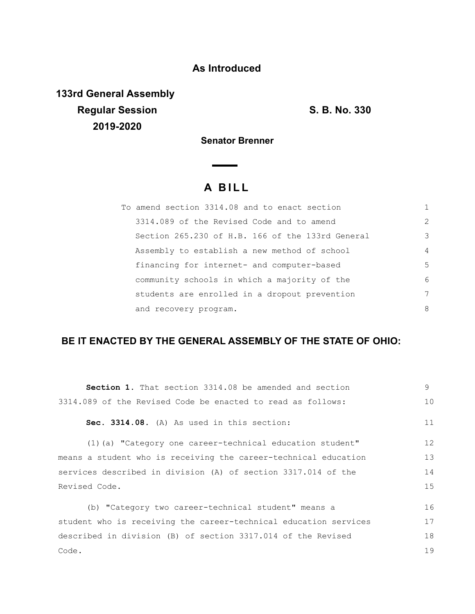### **As Introduced**

**133rd General Assembly Regular Session S. B. No. 330 2019-2020**

**Senator Brenner**

# **A B I L L**

| To amend section 3314.08 and to enact section    |               |
|--------------------------------------------------|---------------|
| 3314.089 of the Revised Code and to amend        | $\mathcal{L}$ |
| Section 265.230 of H.B. 166 of the 133rd General | 3             |
| Assembly to establish a new method of school     | 4             |
| financing for internet- and computer-based       | 5             |
| community schools in which a majority of the     | 6             |
| students are enrolled in a dropout prevention    | 7             |
| and recovery program.                            | 8             |

## **BE IT ENACTED BY THE GENERAL ASSEMBLY OF THE STATE OF OHIO:**

| Section 1. That section 3314.08 be amended and section           | 9  |
|------------------------------------------------------------------|----|
| 3314.089 of the Revised Code be enacted to read as follows:      |    |
| Sec. 3314.08. (A) As used in this section:                       | 11 |
| (1) (a) "Category one career-technical education student"        | 12 |
| means a student who is receiving the career-technical education  | 13 |
| services described in division (A) of section 3317.014 of the    |    |
| Revised Code.                                                    | 15 |
| (b) "Category two career-technical student" means a              | 16 |
| student who is receiving the career-technical education services | 17 |
| described in division (B) of section 3317.014 of the Revised     | 18 |
| Code.                                                            | 19 |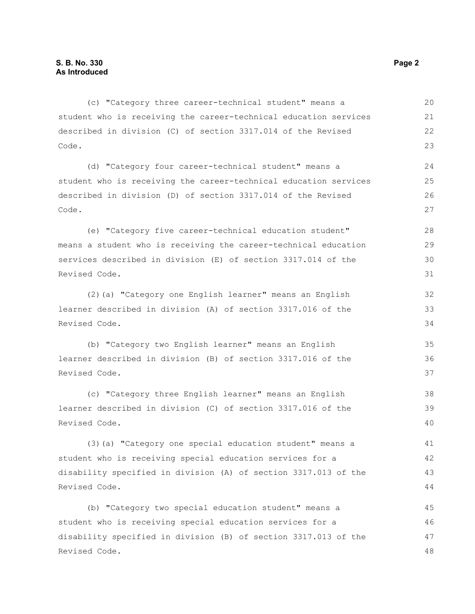| (c) "Category three career-technical student" means a            | 20 |
|------------------------------------------------------------------|----|
| student who is receiving the career-technical education services | 21 |
| described in division (C) of section 3317.014 of the Revised     | 22 |
| Code.                                                            | 23 |
| (d) "Category four career-technical student" means a             | 24 |
| student who is receiving the career-technical education services | 25 |
| described in division (D) of section 3317.014 of the Revised     | 26 |
| Code.                                                            | 27 |
| (e) "Category five career-technical education student"           | 28 |
| means a student who is receiving the career-technical education  | 29 |
| services described in division (E) of section 3317.014 of the    | 30 |
| Revised Code.                                                    | 31 |
| (2) (a) "Category one English learner" means an English          | 32 |
| learner described in division (A) of section 3317.016 of the     | 33 |
| Revised Code.                                                    | 34 |
| (b) "Category two English learner" means an English              | 35 |
| learner described in division (B) of section 3317.016 of the     | 36 |
| Revised Code.                                                    | 37 |
| (c) "Category three English learner" means an English            | 38 |
| learner described in division (C) of section 3317.016 of the     | 39 |
| Revised Code.                                                    | 40 |
| (3) (a) "Category one special education student" means a         | 41 |
| student who is receiving special education services for a        | 42 |
| disability specified in division (A) of section 3317.013 of the  | 43 |
| Revised Code.                                                    | 44 |
| (b) "Category two special education student" means a             | 45 |
| student who is receiving special education services for a        | 46 |
| disability specified in division (B) of section 3317.013 of the  | 47 |
| Revised Code.                                                    | 48 |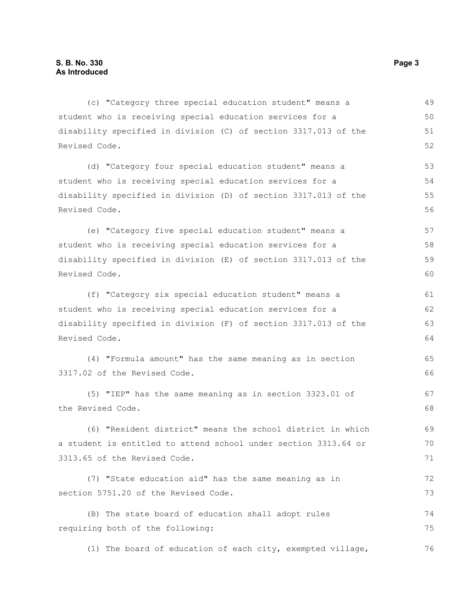(c) "Category three special education student" means a student who is receiving special education services for a disability specified in division (C) of section 3317.013 of the Revised Code. (d) "Category four special education student" means a student who is receiving special education services for a disability specified in division (D) of section 3317.013 of the Revised Code. (e) "Category five special education student" means a student who is receiving special education services for a disability specified in division (E) of section 3317.013 of the Revised Code. (f) "Category six special education student" means a student who is receiving special education services for a disability specified in division (F) of section 3317.013 of the Revised Code. (4) "Formula amount" has the same meaning as in section 3317.02 of the Revised Code. (5) "IEP" has the same meaning as in section 3323.01 of the Revised Code. (6) "Resident district" means the school district in which a student is entitled to attend school under section 3313.64 or 3313.65 of the Revised Code. (7) "State education aid" has the same meaning as in section 5751.20 of the Revised Code. (B) The state board of education shall adopt rules requiring both of the following: (1) The board of education of each city, exempted village, 49 50 51 52 53 54 55 56 57 58 59 60 61 62 63 64 65 66 67 68 69 70 71 72 73 74 75 76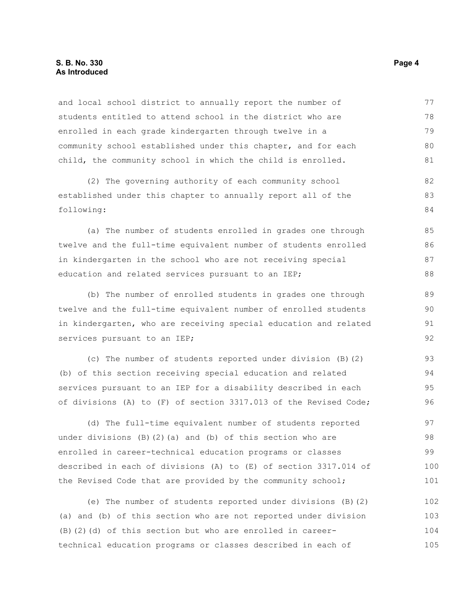### **S. B. No. 330 Page 4 As Introduced**

and local school district to annually report the number of students entitled to attend school in the district who are enrolled in each grade kindergarten through twelve in a community school established under this chapter, and for each child, the community school in which the child is enrolled. 77 78 79 80 81

(2) The governing authority of each community school established under this chapter to annually report all of the following:

(a) The number of students enrolled in grades one through twelve and the full-time equivalent number of students enrolled in kindergarten in the school who are not receiving special education and related services pursuant to an IEP;

(b) The number of enrolled students in grades one through twelve and the full-time equivalent number of enrolled students in kindergarten, who are receiving special education and related services pursuant to an IEP;

(c) The number of students reported under division (B)(2) (b) of this section receiving special education and related services pursuant to an IEP for a disability described in each of divisions (A) to (F) of section 3317.013 of the Revised Code; 93 94 95 96

(d) The full-time equivalent number of students reported under divisions  $(B)$   $(2)$   $(a)$  and  $(b)$  of this section who are enrolled in career-technical education programs or classes described in each of divisions (A) to (E) of section 3317.014 of the Revised Code that are provided by the community school; 97 98 99 100 101

(e) The number of students reported under divisions (B)(2) (a) and (b) of this section who are not reported under division (B)(2)(d) of this section but who are enrolled in careertechnical education programs or classes described in each of 102 103 104 105

82 83 84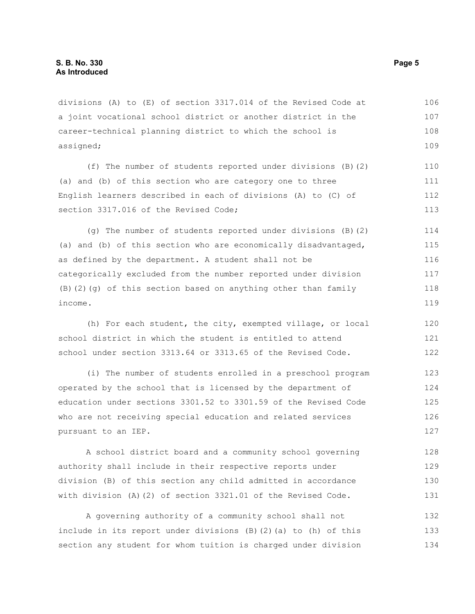divisions (A) to (E) of section 3317.014 of the Revised Code at a joint vocational school district or another district in the career-technical planning district to which the school is assigned; 106 107 108 109

(f) The number of students reported under divisions (B)(2) (a) and (b) of this section who are category one to three English learners described in each of divisions (A) to (C) of section 3317.016 of the Revised Code; 110 111 112 113

(g) The number of students reported under divisions (B)(2) (a) and (b) of this section who are economically disadvantaged, as defined by the department. A student shall not be categorically excluded from the number reported under division (B)(2)(g) of this section based on anything other than family income. 114 115 116 117 118 119

(h) For each student, the city, exempted village, or local school district in which the student is entitled to attend school under section 3313.64 or 3313.65 of the Revised Code. 120 121 122

(i) The number of students enrolled in a preschool program operated by the school that is licensed by the department of education under sections 3301.52 to 3301.59 of the Revised Code who are not receiving special education and related services pursuant to an IEP. 123 124 125 126 127

A school district board and a community school governing authority shall include in their respective reports under division (B) of this section any child admitted in accordance with division (A)(2) of section 3321.01 of the Revised Code. 128 129 130 131

A governing authority of a community school shall not include in its report under divisions (B)(2)(a) to (h) of this section any student for whom tuition is charged under division 132 133 134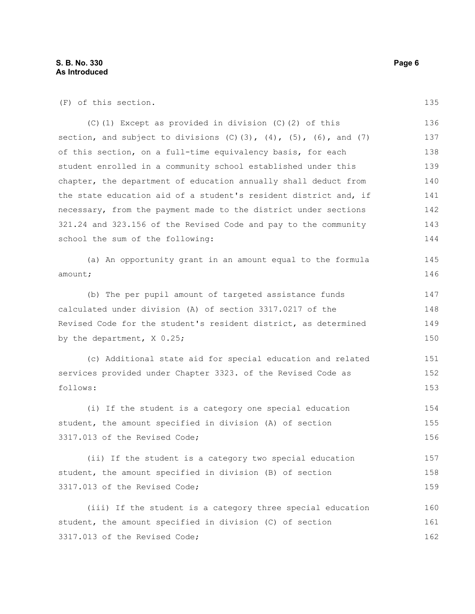(F) of this section.

(C)(1) Except as provided in division (C)(2) of this section, and subject to divisions  $(C)(3)$ ,  $(4)$ ,  $(5)$ ,  $(6)$ , and  $(7)$ of this section, on a full-time equivalency basis, for each student enrolled in a community school established under this chapter, the department of education annually shall deduct from the state education aid of a student's resident district and, if necessary, from the payment made to the district under sections 321.24 and 323.156 of the Revised Code and pay to the community school the sum of the following: 136 137 138 139 140 141 142 143 144

(a) An opportunity grant in an amount equal to the formula amount; 145 146

(b) The per pupil amount of targeted assistance funds calculated under division (A) of section 3317.0217 of the Revised Code for the student's resident district, as determined by the department, X 0.25; 147 148 149 150

(c) Additional state aid for special education and related services provided under Chapter 3323. of the Revised Code as follows: 151 152 153

(i) If the student is a category one special education student, the amount specified in division (A) of section 3317.013 of the Revised Code; 154 155 156

(ii) If the student is a category two special education student, the amount specified in division (B) of section 3317.013 of the Revised Code; 157 158 159

(iii) If the student is a category three special education student, the amount specified in division (C) of section 3317.013 of the Revised Code; 160 161 162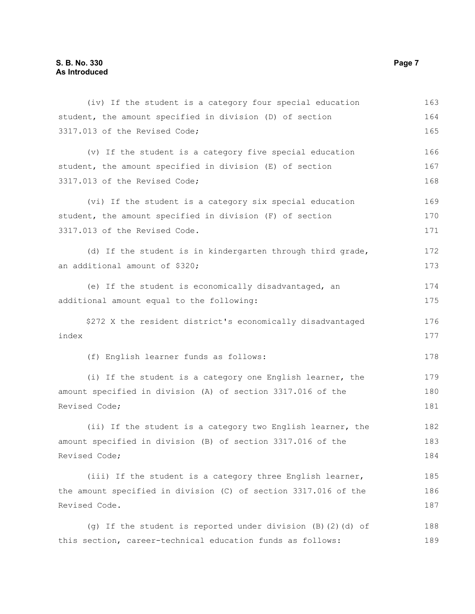| (iv) If the student is a category four special education        | 163 |
|-----------------------------------------------------------------|-----|
| student, the amount specified in division (D) of section        | 164 |
| 3317.013 of the Revised Code;                                   | 165 |
| (v) If the student is a category five special education         | 166 |
| student, the amount specified in division (E) of section        | 167 |
| 3317.013 of the Revised Code;                                   | 168 |
| (vi) If the student is a category six special education         | 169 |
| student, the amount specified in division (F) of section        | 170 |
| 3317.013 of the Revised Code.                                   | 171 |
| (d) If the student is in kindergarten through third grade,      | 172 |
| an additional amount of \$320;                                  | 173 |
| (e) If the student is economically disadvantaged, an            | 174 |
| additional amount equal to the following:                       | 175 |
| \$272 X the resident district's economically disadvantaged      | 176 |
| index                                                           | 177 |
| (f) English learner funds as follows:                           | 178 |
| (i) If the student is a category one English learner, the       | 179 |
| amount specified in division (A) of section 3317.016 of the     |     |
| Revised Code;                                                   | 181 |
| (ii) If the student is a category two English learner, the      | 182 |
| amount specified in division (B) of section 3317.016 of the     | 183 |
| Revised Code;                                                   | 184 |
| (iii) If the student is a category three English learner,       | 185 |
| the amount specified in division (C) of section 3317.016 of the | 186 |
| Revised Code.                                                   | 187 |
| (g) If the student is reported under division (B) (2) (d) of    | 188 |
| this section, career-technical education funds as follows:      | 189 |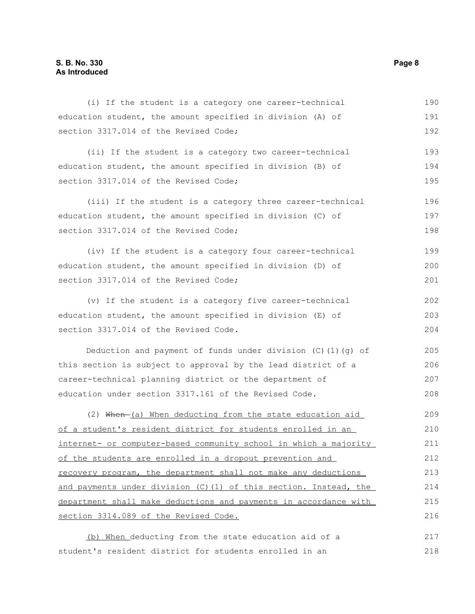| (i) If the student is a category one career-technical          | 190 |
|----------------------------------------------------------------|-----|
| education student, the amount specified in division (A) of     | 191 |
| section 3317.014 of the Revised Code;                          | 192 |
| (ii) If the student is a category two career-technical         | 193 |
| education student, the amount specified in division (B) of     | 194 |
| section 3317.014 of the Revised Code;                          | 195 |
| (iii) If the student is a category three career-technical      | 196 |
| education student, the amount specified in division (C) of     | 197 |
| section 3317.014 of the Revised Code;                          | 198 |
| (iv) If the student is a category four career-technical        | 199 |
| education student, the amount specified in division (D) of     | 200 |
| section 3317.014 of the Revised Code;                          | 201 |
| (v) If the student is a category five career-technical         | 202 |
| education student, the amount specified in division (E) of     | 203 |
| section 3317.014 of the Revised Code.                          | 204 |
| Deduction and payment of funds under division $(C)$ (1) (g) of | 205 |
| this section is subject to approval by the lead district of a  | 206 |
| career-technical planning district or the department of        | 207 |
| education under section 3317.161 of the Revised Code.          | 208 |
| (2) When (a) When deducting from the state education aid       | 209 |

(2) When (a) When deducting from the state education aid of a student's resident district for students enrolled in an internet- or computer-based community school in which a majority of the students are enrolled in a dropout prevention and recovery program, the department shall not make any deductions and payments under division (C)(1) of this section. Instead, the department shall make deductions and payments in accordance with section 3314.089 of the Revised Code. 210 211 212 213 214 215 216

(b) When deducting from the state education aid of a student's resident district for students enrolled in an 217 218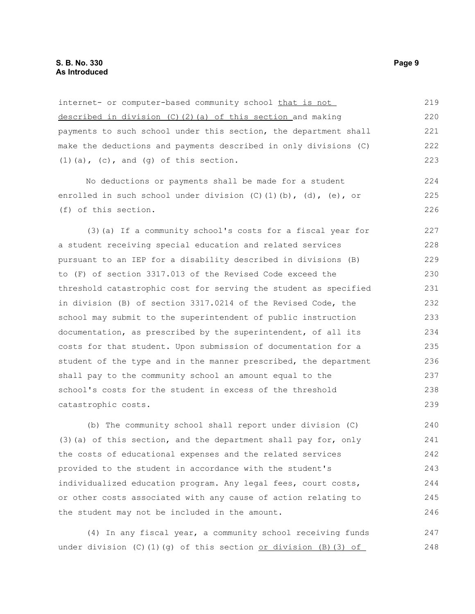internet- or computer-based community school that is not described in division (C)(2)(a) of this section and making payments to such school under this section, the department shall make the deductions and payments described in only divisions (C)  $(1)$  (a),  $(c)$ , and  $(g)$  of this section. 219 220 221 222 223

No deductions or payments shall be made for a student enrolled in such school under division  $(C)$  (1)(b), (d), (e), or (f) of this section.

(3)(a) If a community school's costs for a fiscal year for a student receiving special education and related services pursuant to an IEP for a disability described in divisions (B) to (F) of section 3317.013 of the Revised Code exceed the threshold catastrophic cost for serving the student as specified in division (B) of section 3317.0214 of the Revised Code, the school may submit to the superintendent of public instruction documentation, as prescribed by the superintendent, of all its costs for that student. Upon submission of documentation for a student of the type and in the manner prescribed, the department shall pay to the community school an amount equal to the school's costs for the student in excess of the threshold catastrophic costs. 227 228 229 230 231 232 233 234 235 236 237 238 239

(b) The community school shall report under division (C) (3)(a) of this section, and the department shall pay for, only the costs of educational expenses and the related services provided to the student in accordance with the student's individualized education program. Any legal fees, court costs, or other costs associated with any cause of action relating to the student may not be included in the amount. 240 241 242 243 244 245 246

(4) In any fiscal year, a community school receiving funds under division  $(C)$ (1)(q) of this section or division (B)(3) of 247 248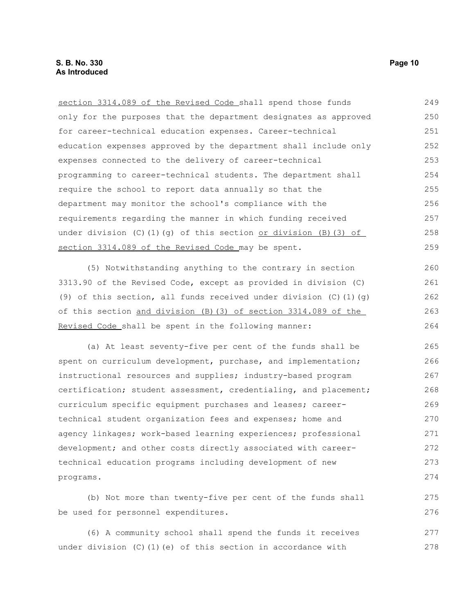section 3314.089 of the Revised Code shall spend those funds only for the purposes that the department designates as approved for career-technical education expenses. Career-technical education expenses approved by the department shall include only expenses connected to the delivery of career-technical programming to career-technical students. The department shall require the school to report data annually so that the department may monitor the school's compliance with the requirements regarding the manner in which funding received under division  $(C)$  (1)(q) of this section or division (B)(3) of section 3314.089 of the Revised Code may be spent. 249 250 251 252 253 254 255 256 257 258 259

(5) Notwithstanding anything to the contrary in section 3313.90 of the Revised Code, except as provided in division (C) (9) of this section, all funds received under division  $(C)$  (1)(q) of this section and division (B)(3) of section 3314.089 of the Revised Code shall be spent in the following manner:

(a) At least seventy-five per cent of the funds shall be spent on curriculum development, purchase, and implementation; instructional resources and supplies; industry-based program certification; student assessment, credentialing, and placement; curriculum specific equipment purchases and leases; careertechnical student organization fees and expenses; home and agency linkages; work-based learning experiences; professional development; and other costs directly associated with careertechnical education programs including development of new programs. 265 266 267 268 269 270 271 272 273 274

(b) Not more than twenty-five per cent of the funds shall be used for personnel expenditures.

(6) A community school shall spend the funds it receives under division (C)(1)(e) of this section in accordance with 277 278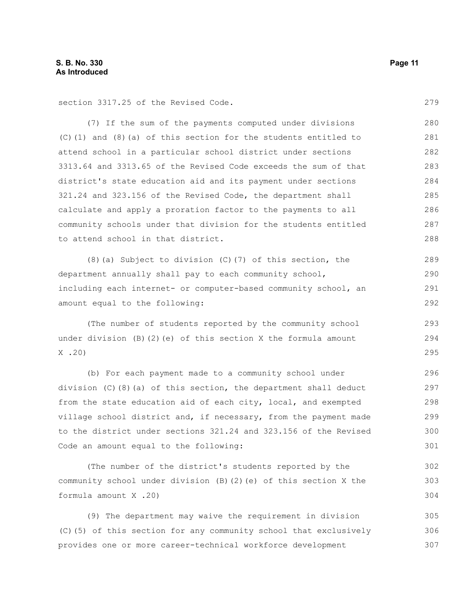section 3317.25 of the Revised Code.

(7) If the sum of the payments computed under divisions (C)(1) and (8)(a) of this section for the students entitled to attend school in a particular school district under sections 3313.64 and 3313.65 of the Revised Code exceeds the sum of that district's state education aid and its payment under sections 321.24 and 323.156 of the Revised Code, the department shall calculate and apply a proration factor to the payments to all community schools under that division for the students entitled to attend school in that district. 280 281 282 283 284 285 286 287 288

(8)(a) Subject to division (C)(7) of this section, the department annually shall pay to each community school, including each internet- or computer-based community school, an amount equal to the following: 289 290 291 292

(The number of students reported by the community school under division (B)(2)(e) of this section X the formula amount X .20)

(b) For each payment made to a community school under division (C)(8)(a) of this section, the department shall deduct from the state education aid of each city, local, and exempted village school district and, if necessary, from the payment made to the district under sections 321.24 and 323.156 of the Revised Code an amount equal to the following:

(The number of the district's students reported by the community school under division (B)(2)(e) of this section X the formula amount X .20) 302 303

(9) The department may waive the requirement in division (C)(5) of this section for any community school that exclusively provides one or more career-technical workforce development 305 306 307

279

304

293 294 295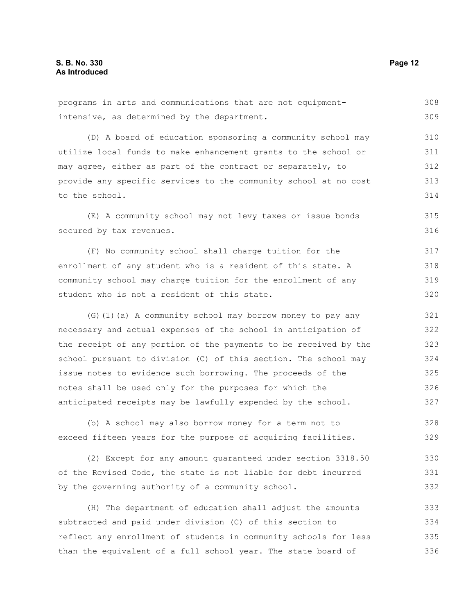programs in arts and communications that are not equipmentintensive, as determined by the department. (D) A board of education sponsoring a community school may utilize local funds to make enhancement grants to the school or may agree, either as part of the contract or separately, to provide any specific services to the community school at no cost to the school. (E) A community school may not levy taxes or issue bonds secured by tax revenues. (F) No community school shall charge tuition for the enrollment of any student who is a resident of this state. A community school may charge tuition for the enrollment of any student who is not a resident of this state. (G)(1)(a) A community school may borrow money to pay any necessary and actual expenses of the school in anticipation of the receipt of any portion of the payments to be received by the school pursuant to division (C) of this section. The school may issue notes to evidence such borrowing. The proceeds of the notes shall be used only for the purposes for which the anticipated receipts may be lawfully expended by the school. (b) A school may also borrow money for a term not to exceed fifteen years for the purpose of acquiring facilities. (2) Except for any amount guaranteed under section 3318.50 of the Revised Code, the state is not liable for debt incurred by the governing authority of a community school. 308 309 310 311 312 313 314 315 316 317 318 319 320 321 322 323 324 325 326 327 328 329 330 331 332

(H) The department of education shall adjust the amounts subtracted and paid under division (C) of this section to reflect any enrollment of students in community schools for less than the equivalent of a full school year. The state board of 333 334 335 336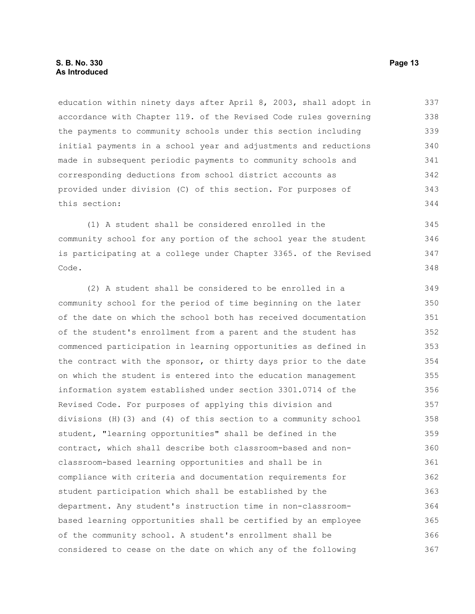education within ninety days after April 8, 2003, shall adopt in accordance with Chapter 119. of the Revised Code rules governing the payments to community schools under this section including initial payments in a school year and adjustments and reductions made in subsequent periodic payments to community schools and corresponding deductions from school district accounts as provided under division (C) of this section. For purposes of this section: 337 338 339 340 341 342 343 344

(1) A student shall be considered enrolled in the community school for any portion of the school year the student is participating at a college under Chapter 3365. of the Revised Code. 345 346 347 348

(2) A student shall be considered to be enrolled in a community school for the period of time beginning on the later of the date on which the school both has received documentation of the student's enrollment from a parent and the student has commenced participation in learning opportunities as defined in the contract with the sponsor, or thirty days prior to the date on which the student is entered into the education management information system established under section 3301.0714 of the Revised Code. For purposes of applying this division and divisions (H)(3) and (4) of this section to a community school student, "learning opportunities" shall be defined in the contract, which shall describe both classroom-based and nonclassroom-based learning opportunities and shall be in compliance with criteria and documentation requirements for student participation which shall be established by the department. Any student's instruction time in non-classroombased learning opportunities shall be certified by an employee of the community school. A student's enrollment shall be considered to cease on the date on which any of the following 349 350 351 352 353 354 355 356 357 358 359 360 361 362 363 364 365 366 367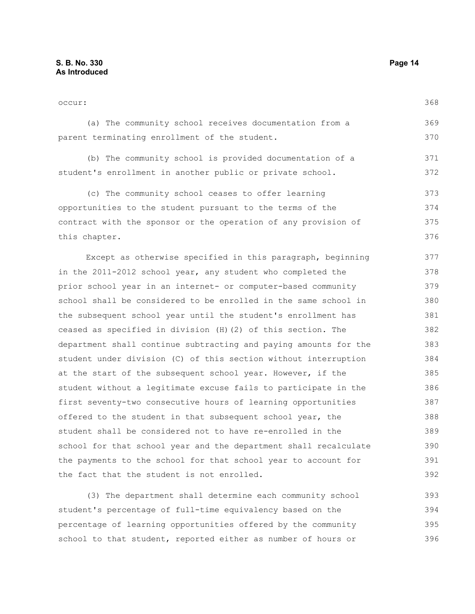occur: (a) The community school receives documentation from a parent terminating enrollment of the student. (b) The community school is provided documentation of a student's enrollment in another public or private school. (c) The community school ceases to offer learning opportunities to the student pursuant to the terms of the contract with the sponsor or the operation of any provision of this chapter. Except as otherwise specified in this paragraph, beginning in the 2011-2012 school year, any student who completed the prior school year in an internet- or computer-based community school shall be considered to be enrolled in the same school in the subsequent school year until the student's enrollment has ceased as specified in division (H)(2) of this section. The department shall continue subtracting and paying amounts for the student under division (C) of this section without interruption at the start of the subsequent school year. However, if the student without a legitimate excuse fails to participate in the 368 369 370 371 372 373 374 375 376 377 378 379 380 381 382 383 384 385 386

(3) The department shall determine each community school student's percentage of full-time equivalency based on the percentage of learning opportunities offered by the community school to that student, reported either as number of hours or 393 394 395 396

first seventy-two consecutive hours of learning opportunities

school for that school year and the department shall recalculate the payments to the school for that school year to account for

offered to the student in that subsequent school year, the student shall be considered not to have re-enrolled in the

the fact that the student is not enrolled.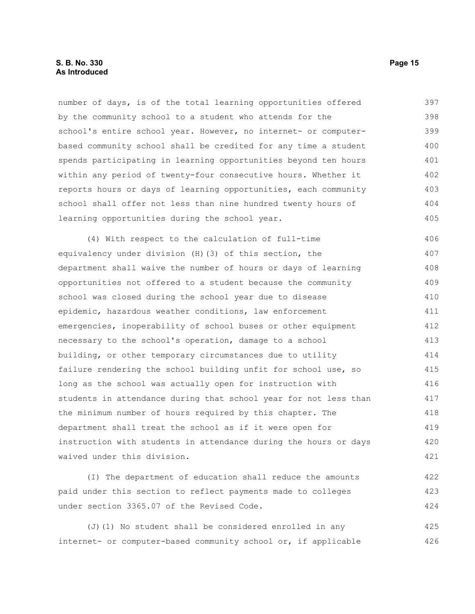number of days, is of the total learning opportunities offered by the community school to a student who attends for the school's entire school year. However, no internet- or computerbased community school shall be credited for any time a student spends participating in learning opportunities beyond ten hours within any period of twenty-four consecutive hours. Whether it reports hours or days of learning opportunities, each community school shall offer not less than nine hundred twenty hours of learning opportunities during the school year. 397 398 399 400 401 402 403 404 405

(4) With respect to the calculation of full-time equivalency under division (H)(3) of this section, the department shall waive the number of hours or days of learning opportunities not offered to a student because the community school was closed during the school year due to disease epidemic, hazardous weather conditions, law enforcement emergencies, inoperability of school buses or other equipment necessary to the school's operation, damage to a school building, or other temporary circumstances due to utility failure rendering the school building unfit for school use, so long as the school was actually open for instruction with students in attendance during that school year for not less than the minimum number of hours required by this chapter. The department shall treat the school as if it were open for instruction with students in attendance during the hours or days waived under this division. 406 407 408 409 410 411 412 413 414 415 416 417 418 419 420 421

(I) The department of education shall reduce the amounts paid under this section to reflect payments made to colleges under section 3365.07 of the Revised Code. 422 423 424

(J)(1) No student shall be considered enrolled in any internet- or computer-based community school or, if applicable 425 426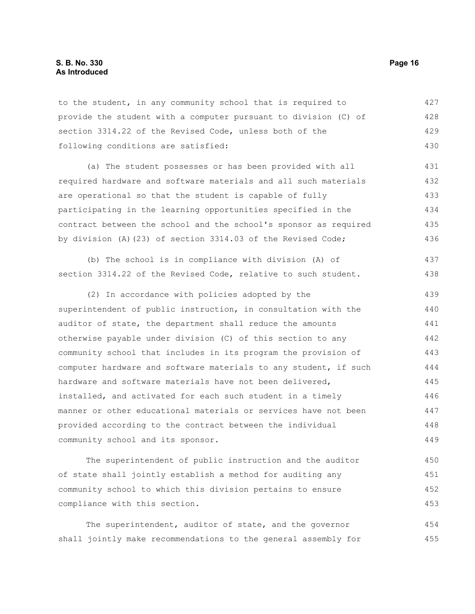to the student, in any community school that is required to provide the student with a computer pursuant to division (C) of section 3314.22 of the Revised Code, unless both of the following conditions are satisfied: 427 428 429 430

(a) The student possesses or has been provided with all required hardware and software materials and all such materials are operational so that the student is capable of fully participating in the learning opportunities specified in the contract between the school and the school's sponsor as required by division (A)(23) of section 3314.03 of the Revised Code; 431 432 433 434 435 436

(b) The school is in compliance with division (A) of section 3314.22 of the Revised Code, relative to such student. 437 438

(2) In accordance with policies adopted by the superintendent of public instruction, in consultation with the auditor of state, the department shall reduce the amounts otherwise payable under division (C) of this section to any community school that includes in its program the provision of computer hardware and software materials to any student, if such hardware and software materials have not been delivered, installed, and activated for each such student in a timely manner or other educational materials or services have not been provided according to the contract between the individual community school and its sponsor. 439 440 441 442 443 444 445 446 447 448 449

The superintendent of public instruction and the auditor of state shall jointly establish a method for auditing any community school to which this division pertains to ensure compliance with this section. 450 451 452 453

The superintendent, auditor of state, and the governor shall jointly make recommendations to the general assembly for 454 455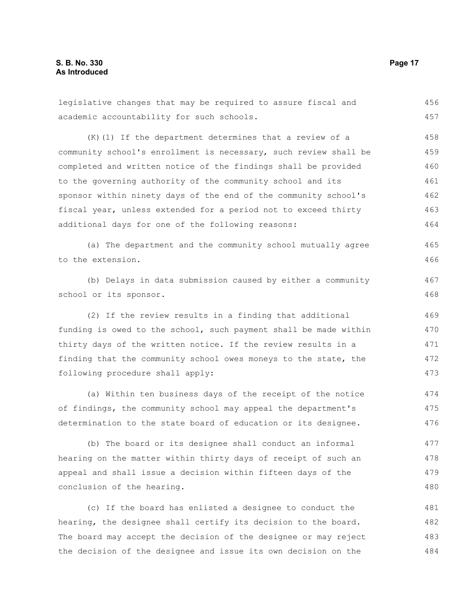academic accountability for such schools. (K)(1) If the department determines that a review of a community school's enrollment is necessary, such review shall be completed and written notice of the findings shall be provided to the governing authority of the community school and its sponsor within ninety days of the end of the community school's fiscal year, unless extended for a period not to exceed thirty additional days for one of the following reasons: (a) The department and the community school mutually agree to the extension. (b) Delays in data submission caused by either a community school or its sponsor. (2) If the review results in a finding that additional funding is owed to the school, such payment shall be made within thirty days of the written notice. If the review results in a finding that the community school owes moneys to the state, the following procedure shall apply: (a) Within ten business days of the receipt of the notice of findings, the community school may appeal the department's determination to the state board of education or its designee. (b) The board or its designee shall conduct an informal 457 458 459 460 461 462 463 464 465 466 467 468 469 470 471 472 473 474 475 476 477

legislative changes that may be required to assure fiscal and

hearing on the matter within thirty days of receipt of such an appeal and shall issue a decision within fifteen days of the conclusion of the hearing. 478 479 480

(c) If the board has enlisted a designee to conduct the hearing, the designee shall certify its decision to the board. The board may accept the decision of the designee or may reject the decision of the designee and issue its own decision on the 481 482 483 484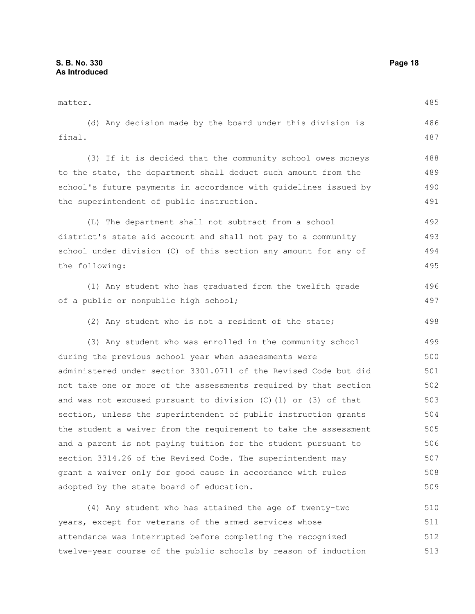matter. (d) Any decision made by the board under this division is final. (3) If it is decided that the community school owes moneys to the state, the department shall deduct such amount from the school's future payments in accordance with guidelines issued by the superintendent of public instruction. (L) The department shall not subtract from a school district's state aid account and shall not pay to a community school under division (C) of this section any amount for any of the following: (1) Any student who has graduated from the twelfth grade of a public or nonpublic high school; (2) Any student who is not a resident of the state; (3) Any student who was enrolled in the community school during the previous school year when assessments were administered under section 3301.0711 of the Revised Code but did not take one or more of the assessments required by that section and was not excused pursuant to division  $(C)$  (1) or (3) of that section, unless the superintendent of public instruction grants the student a waiver from the requirement to take the assessment and a parent is not paying tuition for the student pursuant to section 3314.26 of the Revised Code. The superintendent may grant a waiver only for good cause in accordance with rules adopted by the state board of education. (4) Any student who has attained the age of twenty-two years, except for veterans of the armed services whose attendance was interrupted before completing the recognized 485 486 487 488 489 490 491 492 493 494 495 496 497 498 499 500 501 502 503 504 505 506 507 508 509 510 511 512

twelve-year course of the public schools by reason of induction 513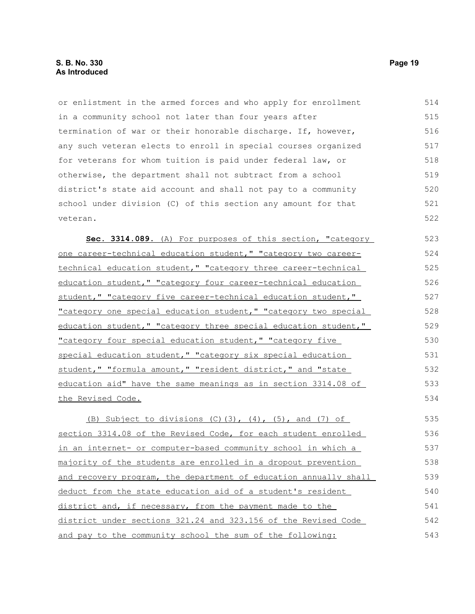### **S. B. No. 330 Page 19 As Introduced**

or enlistment in the armed forces and who apply for enrollment in a community school not later than four years after termination of war or their honorable discharge. If, however, any such veteran elects to enroll in special courses organized for veterans for whom tuition is paid under federal law, or otherwise, the department shall not subtract from a school district's state aid account and shall not pay to a community school under division (C) of this section any amount for that veteran. 514 515 516 517 518 519 520 521 522

 **Sec. 3314.089.** (A) For purposes of this section, "category one career-technical education student," "category two careertechnical education student," "category three career-technical education student," "category four career-technical education student," "category five career-technical education student," "category one special education student," "category two special education student," "category three special education student," "category four special education student," "category five special education student," "category six special education student," "formula amount," "resident district," and "state education aid" have the same meanings as in section 3314.08 of the Revised Code. 523 524 525 526 527 528 529 530 531 532 533 534

(B) Subject to divisions  $(C)$ (3),  $(4)$ ,  $(5)$ , and  $(7)$  of section 3314.08 of the Revised Code, for each student enrolled in an internet- or computer-based community school in which a majority of the students are enrolled in a dropout prevention and recovery program, the department of education annually shall deduct from the state education aid of a student's resident district and, if necessary, from the payment made to the district under sections 321.24 and 323.156 of the Revised Code and pay to the community school the sum of the following: 535 536 537 538 539 540 541 542 543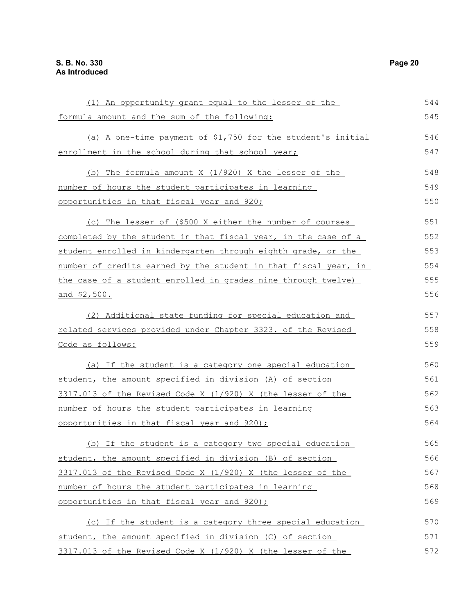| (1) An opportunity grant equal to the lesser of the             | 544 |
|-----------------------------------------------------------------|-----|
| formula amount and the sum of the following:                    | 545 |
| (a) A one-time payment of \$1,750 for the student's initial     | 546 |
| enrollment in the school during that school year;               | 547 |
| (b) The formula amount X (1/920) X the lesser of the            | 548 |
| number of hours the student participates in learning            | 549 |
| opportunities in that fiscal year and 920;                      | 550 |
| (c) The lesser of (\$500 X either the number of courses         | 551 |
| completed by the student in that fiscal year, in the case of a  | 552 |
| student enrolled in kindergarten through eighth grade, or the   | 553 |
| number of credits earned by the student in that fiscal year, in | 554 |
| the case of a student enrolled in grades nine through twelve)   | 555 |
| and \$2,500.                                                    | 556 |
| (2) Additional state funding for special education and          | 557 |
| related services provided under Chapter 3323. of the Revised    |     |
| Code as follows:                                                | 559 |
| (a) If the student is a category one special education          | 560 |
| student, the amount specified in division (A) of section        | 561 |
| 3317.013 of the Revised Code X (1/920) X (the lesser of the     | 562 |
| number of hours the student participates in learning            | 563 |
| opportunities in that fiscal year and 920);                     | 564 |
| (b) If the student is a category two special education          | 565 |
| student, the amount specified in division (B) of section        | 566 |
| 3317.013 of the Revised Code X (1/920) X (the lesser of the     | 567 |
| number of hours the student participates in learning            | 568 |
| opportunities in that fiscal year and 920);                     | 569 |
| (c) If the student is a category three special education        | 570 |
| student, the amount specified in division (C) of section        | 571 |
| 3317.013 of the Revised Code X (1/920) X (the lesser of the     | 572 |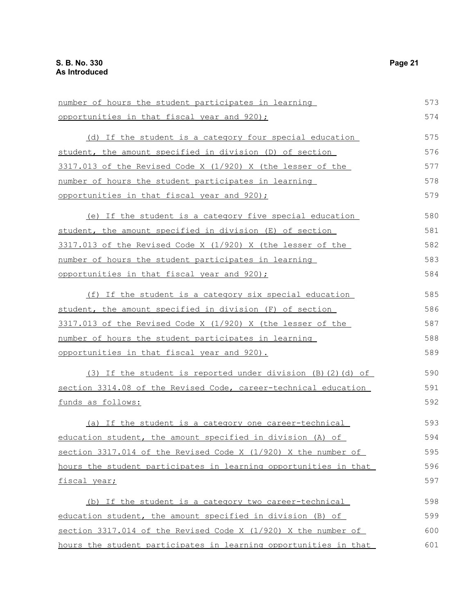| number of hours the student participates in learning             | 573 |
|------------------------------------------------------------------|-----|
| opportunities in that fiscal year and 920);                      | 574 |
| (d) If the student is a category four special education          | 575 |
| student, the amount specified in division (D) of section         | 576 |
| 3317.013 of the Revised Code X (1/920) X (the lesser of the      | 577 |
| number of hours the student participates in learning             | 578 |
| opportunities in that fiscal year and 920);                      | 579 |
| (e) If the student is a category five special education          | 580 |
| student, the amount specified in division (E) of section         | 581 |
| 3317.013 of the Revised Code X (1/920) X (the lesser of the      | 582 |
| number of hours the student participates in learning             | 583 |
| opportunities in that fiscal year and 920);                      | 584 |
| (f) If the student is a category six special education           | 585 |
| student, the amount specified in division (F) of section         | 586 |
| 3317.013 of the Revised Code X (1/920) X (the lesser of the      | 587 |
| number of hours the student participates in learning             | 588 |
| opportunities in that fiscal year and 920).                      | 589 |
| (3) If the student is reported under division (B)(2)(d) of       | 590 |
| section 3314.08 of the Revised Code, career-technical education  |     |
| funds as follows:                                                | 592 |
| (a) If the student is a category one career-technical            | 593 |
| education student, the amount specified in division (A) of       | 594 |
| section 3317.014 of the Revised Code X (1/920) X the number of   | 595 |
| hours the student participates in learning opportunities in that | 596 |
| fiscal year;                                                     | 597 |
| (b) If the student is a category two career-technical            | 598 |
| education student, the amount specified in division (B) of       | 599 |
| section 3317.014 of the Revised Code X (1/920) X the number of   | 600 |
| hours the student participates in learning opportunities in that | 601 |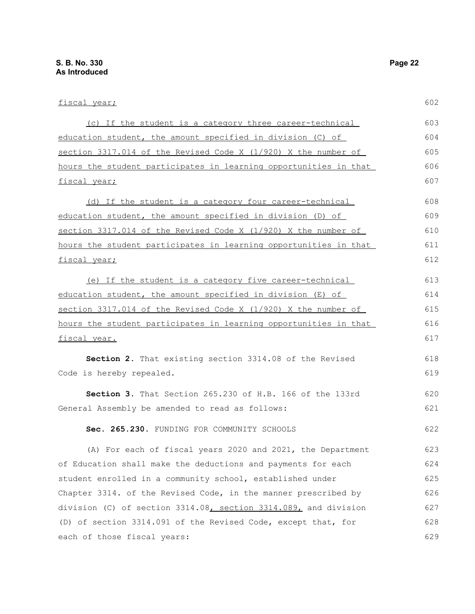each of those fiscal years:

fiscal year; (c) If the student is a category three career-technical education student, the amount specified in division (C) of section 3317.014 of the Revised Code X (1/920) X the number of hours the student participates in learning opportunities in that fiscal year; (d) If the student is a category four career-technical education student, the amount specified in division (D) of section 3317.014 of the Revised Code X (1/920) X the number of hours the student participates in learning opportunities in that fiscal year; (e) If the student is a category five career-technical education student, the amount specified in division (E) of section 3317.014 of the Revised Code X (1/920) X the number of hours the student participates in learning opportunities in that fiscal year. **Section 2.** That existing section 3314.08 of the Revised Code is hereby repealed. **Section 3.** That Section 265.230 of H.B. 166 of the 133rd General Assembly be amended to read as follows: Sec. 265.230. FUNDING FOR COMMUNITY SCHOOLS (A) For each of fiscal years 2020 and 2021, the Department of Education shall make the deductions and payments for each student enrolled in a community school, established under Chapter 3314. of the Revised Code, in the manner prescribed by division (C) of section 3314.08, section 3314.089, and division (D) of section 3314.091 of the Revised Code, except that, for 602 603 604 605 606 607 608 609 610 611 612 613 614 615 616 617 618 619 620 621 622 623 624 625 626 627 628